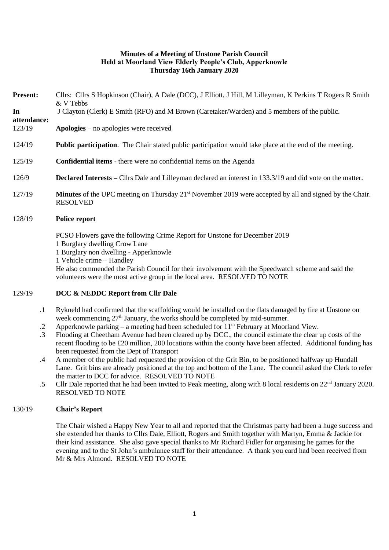### **Minutes of a Meeting of Unstone Parish Council Held at Moorland View Elderly People's Club, Apperknowle Thursday 16th January 2020**

| <b>Present:</b>   | Cllrs: Cllrs S Hopkinson (Chair), A Dale (DCC), J Elliott, J Hill, M Lilleyman, K Perkins T Rogers R Smith<br>& V Tebbs                       |
|-------------------|-----------------------------------------------------------------------------------------------------------------------------------------------|
| In<br>attendance: | J Clayton (Clerk) E Smith (RFO) and M Brown (Caretaker/Warden) and 5 members of the public.                                                   |
| 123/19            | $Apologies - no apologizes were received$                                                                                                     |
| 124/19            | <b>Public participation.</b> The Chair stated public participation would take place at the end of the meeting.                                |
| 125/19            | <b>Confidential items</b> - there were no confidential items on the Agenda                                                                    |
| 126/9             | <b>Declared Interests</b> – Cllrs Dale and Lilleyman declared an interest in 133.3/19 and did vote on the matter.                             |
| 127/19            | <b>Minutes</b> of the UPC meeting on Thursday 21 <sup>st</sup> November 2019 were accepted by all and signed by the Chair.<br><b>RESOLVED</b> |
| 128/19            | Police report                                                                                                                                 |
|                   | PCSO Flowers gave the following Crime Report for Unstone for December 2019                                                                    |

- 1 Burglary dwelling Crow Lane
- 1 Burglary non dwelling Apperknowle
- 1 Vehicle crime Handley

He also commended the Parish Council for their involvement with the Speedwatch scheme and said the volunteers were the most active group in the local area. RESOLVED TO NOTE

#### 129/19 **DCC & NEDDC Report from Cllr Dale**

- .1 Rykneld had confirmed that the scaffolding would be installed on the flats damaged by fire at Unstone on week commencing 27<sup>th</sup> January, the works should be completed by mid-summer.
- .2 Apperknowle parking – a meeting had been scheduled for 11<sup>th</sup> February at Moorland View.
- .3 Flooding at Cheetham Avenue had been cleared up by DCC., the council estimate the clear up costs of the recent flooding to be £20 million, 200 locations within the county have been affected. Additional funding has been requested from the Dept of Transport
- .4 A member of the public had requested the provision of the Grit Bin, to be positioned halfway up Hundall Lane. Grit bins are already positioned at the top and bottom of the Lane. The council asked the Clerk to refer the matter to DCC for advice. RESOLVED TO NOTE
- .5 Cllr Dale reported that he had been invited to Peak meeting, along with 8 local residents on 22<sup>nd</sup> January 2020. RESOLVED TO NOTE

### 130/19 **Chair's Report**

The Chair wished a Happy New Year to all and reported that the Christmas party had been a huge success and she extended her thanks to Cllrs Dale, Elliott, Rogers and Smith together with Martyn, Emma & Jackie for their kind assistance. She also gave special thanks to Mr Richard Fidler for organising he games for the evening and to the St John's ambulance staff for their attendance. A thank you card had been received from Mr & Mrs Almond. RESOLVED TO NOTE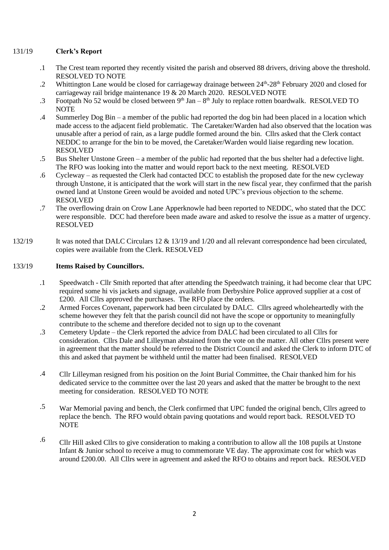#### 131/19 **Clerk's Report**

- .1 The Crest team reported they recently visited the parish and observed 88 drivers, driving above the threshold. RESOLVED TO NOTE
- .2 Whittington Lane would be closed for carriageway drainage between 24<sup>th</sup>-28<sup>th</sup> February 2020 and closed for carriageway rail bridge maintenance 19 & 20 March 2020. RESOLVED NOTE
- .3 Footpath No 52 would be closed between  $9<sup>th</sup>$  Jan –  $8<sup>th</sup>$  July to replace rotten boardwalk. RESOLVED TO **NOTE**
- .4 Summerley Dog Bin – a member of the public had reported the dog bin had been placed in a location which made access to the adjacent field problematic. The Caretaker/Warden had also observed that the location was unusable after a period of rain, as a large puddle formed around the bin. Cllrs asked that the Clerk contact NEDDC to arrange for the bin to be moved, the Caretaker/Warden would liaise regarding new location. RESOLVED
- .5 Bus Shelter Unstone Green – a member of the public had reported that the bus shelter had a defective light. The RFO was looking into the matter and would report back to the next meeting. RESOLVED
- .6 Cycleway – as requested the Clerk had contacted DCC to establish the proposed date for the new cycleway through Unstone, it is anticipated that the work will start in the new fiscal year, they confirmed that the parish owned land at Unstone Green would be avoided and noted UPC's previous objection to the scheme. RESOLVED
- .7 The overflowing drain on Crow Lane Apperknowle had been reported to NEDDC, who stated that the DCC were responsible. DCC had therefore been made aware and asked to resolve the issue as a matter of urgency. RESOLVED
- 132/19 It was noted that DALC Circulars 12 & 13/19 and 1/20 and all relevant correspondence had been circulated, copies were available from the Clerk. RESOLVED

## 133/19 **Items Raised by Councillors.**

- .1 Speedwatch - Cllr Smith reported that after attending the Speedwatch training, it had become clear that UPC required some hi vis jackets and signage, available from Derbyshire Police approved supplier at a cost of £200. All Cllrs approved the purchases. The RFO place the orders.
- .2 Armed Forces Covenant, paperwork had been circulated by DALC. Cllrs agreed wholeheartedly with the scheme however they felt that the parish council did not have the scope or opportunity to meaningfully contribute to the scheme and therefore decided not to sign up to the covenant
- .3 Cemetery Update – the Clerk reported the advice from DALC had been circulated to all Cllrs for consideration. Cllrs Dale and Lilleyman abstained from the vote on the matter. All other Cllrs present were in agreement that the matter should be referred to the District Council and asked the Clerk to inform DTC of this and asked that payment be withheld until the matter had been finalised. RESOLVED
- .4 Cllr Lilleyman resigned from his position on the Joint Burial Committee, the Chair thanked him for his dedicated service to the committee over the last 20 years and asked that the matter be brought to the next meeting for consideration. RESOLVED TO NOTE
- .5 War Memorial paving and bench, the Clerk confirmed that UPC funded the original bench, Cllrs agreed to replace the bench. The RFO would obtain paving quotations and would report back. RESOLVED TO **NOTE**
- .6 Cllr Hill asked Cllrs to give consideration to making a contribution to allow all the 108 pupils at Unstone Infant & Junior school to receive a mug to commemorate VE day. The approximate cost for which was around £200.00. All Cllrs were in agreement and asked the RFO to obtains and report back. RESOLVED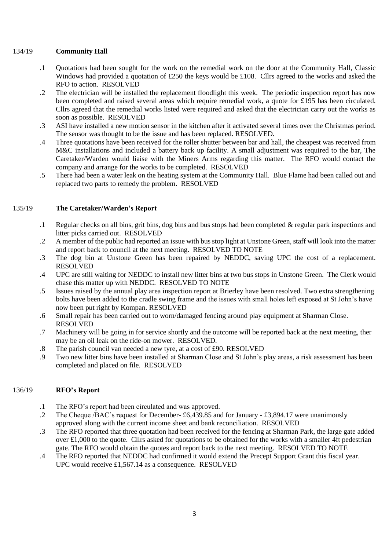#### 134/19 **Community Hall**

- .1 Quotations had been sought for the work on the remedial work on the door at the Community Hall, Classic Windows had provided a quotation of £250 the keys would be £108. Cllrs agreed to the works and asked the RFO to action. RESOLVED
- .2 The electrician will be installed the replacement floodlight this week. The periodic inspection report has now been completed and raised several areas which require remedial work, a quote for £195 has been circulated. Cllrs agreed that the remedial works listed were required and asked that the electrician carry out the works as soon as possible. RESOLVED
- .3 ASI have installed a new motion sensor in the kitchen after it activated several times over the Christmas period. The sensor was thought to be the issue and has been replaced. RESOLVED.
- .4 Three quotations have been received for the roller shutter between bar and hall, the cheapest was received from M&C installations and included a battery back up facility. A small adjustment was required to the bar, The Caretaker/Warden would liaise with the Miners Arms regarding this matter. The RFO would contact the company and arrange for the works to be completed. RESOLVED
- .5 There had been a water leak on the heating system at the Community Hall. Blue Flame had been called out and replaced two parts to remedy the problem. RESOLVED

#### 135/19 **The Caretaker/Warden's Report**

- .1 Regular checks on all bins, grit bins, dog bins and bus stops had been completed & regular park inspections and litter picks carried out. RESOLVED
- .2 A member of the public had reported an issue with bus stop light at Unstone Green, staff will look into the matter and report back to council at the next meeting. RESOLVED TO NOTE
- .3 The dog bin at Unstone Green has been repaired by NEDDC, saving UPC the cost of a replacement. RESOLVED
- .4 UPC are still waiting for NEDDC to install new litter bins at two bus stops in Unstone Green. The Clerk would chase this matter up with NEDDC. RESOLVED TO NOTE
- .5 Issues raised by the annual play area inspection report at Brierley have been resolved. Two extra strengthening bolts have been added to the cradle swing frame and the issues with small holes left exposed at St John's have now been put right by Kompan. RESOLVED
- .6 Small repair has been carried out to worn/damaged fencing around play equipment at Sharman Close. RESOLVED
- .7 Machinery will be going in for service shortly and the outcome will be reported back at the next meeting, ther may be an oil leak on the ride-on mower. RESOLVED.
- .8 The parish council van needed a new tyre, at a cost of £90. RESOLVED
- .9 Two new litter bins have been installed at Sharman Close and St John's play areas, a risk assessment has been completed and placed on file. RESOLVED

### 136/19 **RFO's Report**

- .1 The RFO's report had been circulated and was approved.
- .2 The Cheque /BAC's request for December- £6,439.85 and for January - £3,894.17 were unanimously approved along with the current income sheet and bank reconciliation. RESOLVED
- .3 The RFO reported that three quotation had been received for the fencing at Sharman Park, the large gate added over  $\pounds1,000$  to the quote. Cllrs asked for quotations to be obtained for the works with a smaller 4ft pedestrian gate. The RFO would obtain the quotes and report back to the next meeting. RESOLVED TO NOTE
- .4 The RFO reported that NEDDC had confirmed it would extend the Precept Support Grant this fiscal year. UPC would receive £1,567.14 as a consequence. RESOLVED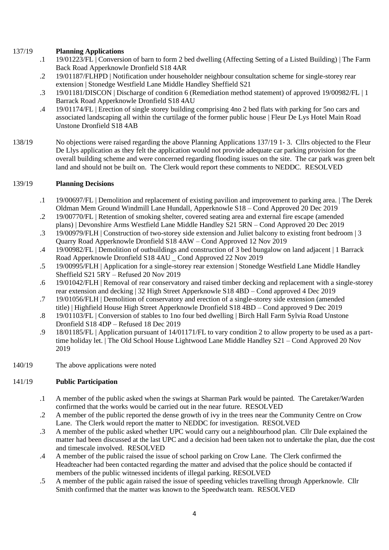# 137/19 **Planning Applications**

- .1 19/01223/FL | Conversion of barn to form 2 bed dwelling (Affecting Setting of a Listed Building) | The Farm Back Road Apperknowle Dronfield S18 4AR
- .2 19/01187/FLHPD | Notification under householder neighbour consultation scheme for single-storey rear extension | Stonedge Westfield Lane Middle Handley Sheffield S21
- .3 19/01181/DISCON | Discharge of condition 6 (Remediation method statement) of approved 19/00982/FL | 1 Barrack Road Apperknowle Dronfield S18 4AU
- .4 19/01174/FL | Erection of single storey building comprising 4no 2 bed flats with parking for 5no cars and associated landscaping all within the curtilage of the former public house | Fleur De Lys Hotel Main Road Unstone Dronfield S18 4AB
- 138/19 No objections were raised regarding the above Planning Applications 137/19 1- 3. Cllrs objected to the Fleur De Llys application as they felt the application would not provide adequate car parking provision for the overall building scheme and were concerned regarding flooding issues on the site. The car park was green belt land and should not be built on. The Clerk would report these comments to NEDDC. RESOLVED

#### 139/19 **Planning Decisions**

- .1 19/00697/FL | Demolition and replacement of existing pavilion and improvement to parking area. | The Derek Oldman Mem Ground Windmill Lane Hundall, Apperknowle S18 – Cond Approved 20 Dec 2019
- .2 19/00770/FL | Retention of smoking shelter, covered seating area and external fire escape (amended plans) | Devonshire Arms Westfield Lane Middle Handley S21 5RN – Cond Approved 20 Dec 2019
- .3 19/00979/FLH | Construction of two-storey side extension and Juliet balcony to existing front bedroom | 3 Quarry Road Apperknowle Dronfield S18 4AW – Cond Approved 12 Nov 2019
- .4 19/00982/FL | Demolition of outbuildings and construction of 3 bed bungalow on land adjacent | 1 Barrack Road Apperknowle Dronfield S18 4AU \_ Cond Approved 22 Nov 2019
- .5 19/00995/FLH | Application for a single-storey rear extension | Stonedge Westfield Lane Middle Handley Sheffield S21 5RY – Refused 20 Nov 2019
- .6 19/01042/FLH | Removal of rear conservatory and raised timber decking and replacement with a single-storey rear extension and decking | 32 High Street Apperknowle S18 4BD – Cond approved 4 Dec 2019
- .7 19/01056/FLH | Demolition of conservatory and erection of a single-storey side extension (amended title) | Highfield House High Street Apperknowle Dronfield S18 4BD – Cond approved 9 Dec 2019
- .8 19/01103/FL | Conversion of stables to 1no four bed dwelling | Birch Hall Farm Sylvia Road Unstone Dronfield S18 4DP – Refused 18 Dec 2019
- .9 18/01185/FL | Application pursuant of 14/01171/FL to vary condition 2 to allow property to be used as a parttime holiday let. | The Old School House Lightwood Lane Middle Handley S21 – Cond Approved 20 Nov 2019
- 140/19 The above applications were noted

# 141/19 **Public Participation**

- .1 A member of the public asked when the swings at Sharman Park would be painted. The Caretaker/Warden confirmed that the works would be carried out in the near future. RESOLVED
- .2 A member of the public reported the dense growth of ivy in the trees near the Community Centre on Crow Lane. The Clerk would report the matter to NEDDC for investigation. RESOLVED
- .3 A member of the public asked whether UPC would carry out a neighbourhood plan. Cllr Dale explained the matter had been discussed at the last UPC and a decision had been taken not to undertake the plan, due the cost and timescale involved. RESOLVED
- .4 A member of the public raised the issue of school parking on Crow Lane. The Clerk confirmed the Headteacher had been contacted regarding the matter and advised that the police should be contacted if members of the public witnessed incidents of illegal parking. RESOLVED
- .5 A member of the public again raised the issue of speeding vehicles travelling through Apperknowle. Cllr Smith confirmed that the matter was known to the Speedwatch team. RESOLVED